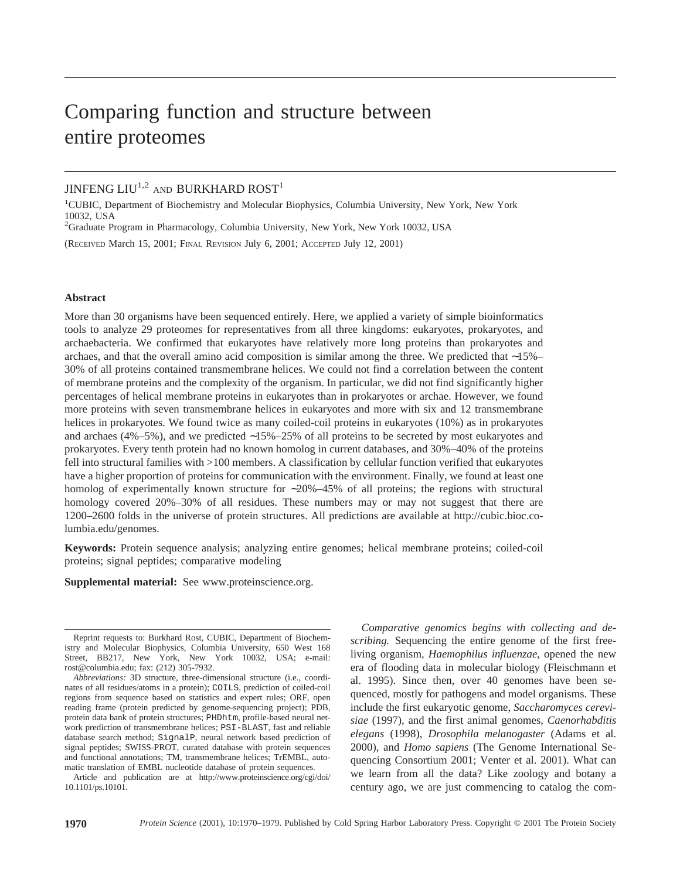# Comparing function and structure between entire proteomes

# JINFENG LIU<sup>1,2</sup> AND BURKHARD ROST<sup>1</sup>

<sup>1</sup>CUBIC, Department of Biochemistry and Molecular Biophysics, Columbia University, New York, New York 10032, USA

2 Graduate Program in Pharmacology, Columbia University, New York, New York 10032, USA

(RECEIVED March 15, 2001; FINAL REVISION July 6, 2001; ACCEPTED July 12, 2001)

### **Abstract**

More than 30 organisms have been sequenced entirely. Here, we applied a variety of simple bioinformatics tools to analyze 29 proteomes for representatives from all three kingdoms: eukaryotes, prokaryotes, and archaebacteria. We confirmed that eukaryotes have relatively more long proteins than prokaryotes and archaes, and that the overall amino acid composition is similar among the three. We predicted that ∼15%– 30% of all proteins contained transmembrane helices. We could not find a correlation between the content of membrane proteins and the complexity of the organism. In particular, we did not find significantly higher percentages of helical membrane proteins in eukaryotes than in prokaryotes or archae. However, we found more proteins with seven transmembrane helices in eukaryotes and more with six and 12 transmembrane helices in prokaryotes. We found twice as many coiled-coil proteins in eukaryotes (10%) as in prokaryotes and archaes (4%–5%), and we predicted ∼15%–25% of all proteins to be secreted by most eukaryotes and prokaryotes. Every tenth protein had no known homolog in current databases, and 30%–40% of the proteins fell into structural families with >100 members. A classification by cellular function verified that eukaryotes have a higher proportion of proteins for communication with the environment. Finally, we found at least one homolog of experimentally known structure for ∼20%–45% of all proteins; the regions with structural homology covered 20%–30% of all residues. These numbers may or may not suggest that there are 1200–2600 folds in the universe of protein structures. All predictions are available at http://cubic.bioc.columbia.edu/genomes.

**Keywords:** Protein sequence analysis; analyzing entire genomes; helical membrane proteins; coiled-coil proteins; signal peptides; comparative modeling

**Supplemental material:** See www.proteinscience.org.

Article and publication are at http://www.proteinscience.org/cgi/doi/ 10.1101/ps.10101.

*Comparative genomics begins with collecting and describing.* Sequencing the entire genome of the first freeliving organism, *Haemophilus influenzae*, opened the new era of flooding data in molecular biology (Fleischmann et al. 1995). Since then, over 40 genomes have been sequenced, mostly for pathogens and model organisms. These include the first eukaryotic genome, *Saccharomyces cerevisiae* (1997), and the first animal genomes, *Caenorhabditis elegans* (1998), *Drosophila melanogaster* (Adams et al. 2000), and *Homo sapiens* (The Genome International Sequencing Consortium 2001; Venter et al. 2001). What can we learn from all the data? Like zoology and botany a century ago, we are just commencing to catalog the com-

Reprint requests to: Burkhard Rost, CUBIC, Department of Biochemistry and Molecular Biophysics, Columbia University, 650 West 168 Street, BB217, New York, New York 10032, USA; e-mail: rost@columbia.edu; fax: (212) 305-7932.

*Abbreviations:* 3D structure, three-dimensional structure (i.e., coordinates of all residues/atoms in a protein); COILS, prediction of coiled-coil regions from sequence based on statistics and expert rules; ORF, open reading frame (protein predicted by genome-sequencing project); PDB, protein data bank of protein structures; PHDhtm, profile-based neural network prediction of transmembrane helices; PSI-BLAST, fast and reliable database search method; SignalP, neural network based prediction of signal peptides; SWISS-PROT, curated database with protein sequences and functional annotations; TM, transmembrane helices; TrEMBL, automatic translation of EMBL nucleotide database of protein sequences.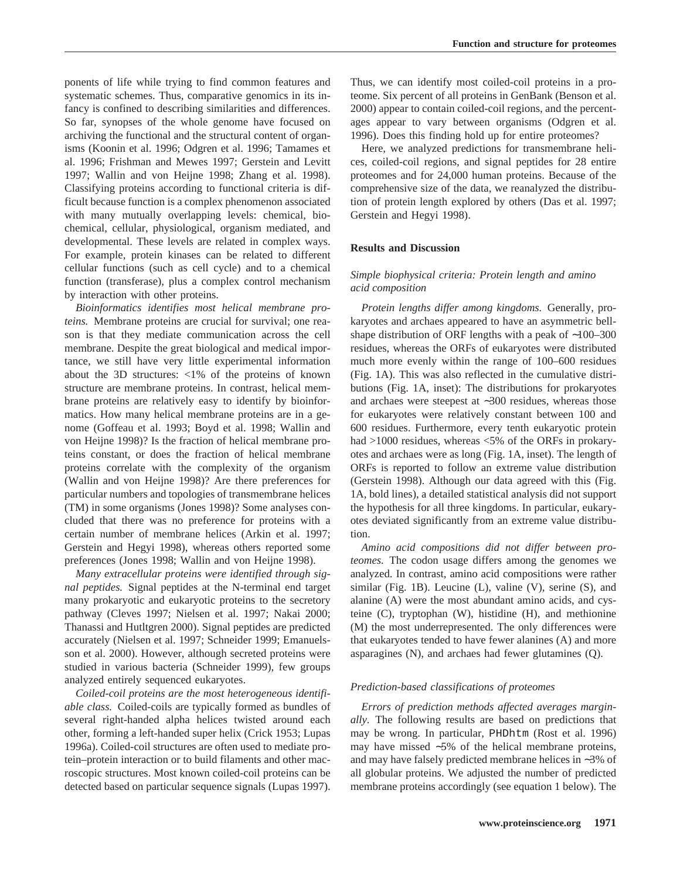ponents of life while trying to find common features and systematic schemes. Thus, comparative genomics in its infancy is confined to describing similarities and differences. So far, synopses of the whole genome have focused on archiving the functional and the structural content of organisms (Koonin et al. 1996; Odgren et al. 1996; Tamames et al. 1996; Frishman and Mewes 1997; Gerstein and Levitt 1997; Wallin and von Heijne 1998; Zhang et al. 1998). Classifying proteins according to functional criteria is difficult because function is a complex phenomenon associated with many mutually overlapping levels: chemical, biochemical, cellular, physiological, organism mediated, and developmental. These levels are related in complex ways. For example, protein kinases can be related to different cellular functions (such as cell cycle) and to a chemical function (transferase), plus a complex control mechanism by interaction with other proteins.

*Bioinformatics identifies most helical membrane proteins.* Membrane proteins are crucial for survival; one reason is that they mediate communication across the cell membrane. Despite the great biological and medical importance, we still have very little experimental information about the 3D structures: <1% of the proteins of known structure are membrane proteins. In contrast, helical membrane proteins are relatively easy to identify by bioinformatics. How many helical membrane proteins are in a genome (Goffeau et al. 1993; Boyd et al. 1998; Wallin and von Heijne 1998)? Is the fraction of helical membrane proteins constant, or does the fraction of helical membrane proteins correlate with the complexity of the organism (Wallin and von Heijne 1998)? Are there preferences for particular numbers and topologies of transmembrane helices (TM) in some organisms (Jones 1998)? Some analyses concluded that there was no preference for proteins with a certain number of membrane helices (Arkin et al. 1997; Gerstein and Hegyi 1998), whereas others reported some preferences (Jones 1998; Wallin and von Heijne 1998).

*Many extracellular proteins were identified through signal peptides.* Signal peptides at the N-terminal end target many prokaryotic and eukaryotic proteins to the secretory pathway (Cleves 1997; Nielsen et al. 1997; Nakai 2000; Thanassi and Hutltgren 2000). Signal peptides are predicted accurately (Nielsen et al. 1997; Schneider 1999; Emanuelsson et al. 2000). However, although secreted proteins were studied in various bacteria (Schneider 1999), few groups analyzed entirely sequenced eukaryotes.

*Coiled-coil proteins are the most heterogeneous identifiable class.* Coiled-coils are typically formed as bundles of several right-handed alpha helices twisted around each other, forming a left-handed super helix (Crick 1953; Lupas 1996a). Coiled-coil structures are often used to mediate protein–protein interaction or to build filaments and other macroscopic structures. Most known coiled-coil proteins can be detected based on particular sequence signals (Lupas 1997).

Thus, we can identify most coiled-coil proteins in a proteome. Six percent of all proteins in GenBank (Benson et al. 2000) appear to contain coiled-coil regions, and the percentages appear to vary between organisms (Odgren et al. 1996). Does this finding hold up for entire proteomes?

Here, we analyzed predictions for transmembrane helices, coiled-coil regions, and signal peptides for 28 entire proteomes and for 24,000 human proteins. Because of the comprehensive size of the data, we reanalyzed the distribution of protein length explored by others (Das et al. 1997; Gerstein and Hegyi 1998).

## **Results and Discussion**

# *Simple biophysical criteria: Protein length and amino acid composition*

*Protein lengths differ among kingdoms.* Generally, prokaryotes and archaes appeared to have an asymmetric bellshape distribution of ORF lengths with a peak of ∼100–300 residues, whereas the ORFs of eukaryotes were distributed much more evenly within the range of 100–600 residues (Fig. 1A). This was also reflected in the cumulative distributions (Fig. 1A, inset): The distributions for prokaryotes and archaes were steepest at ∼300 residues, whereas those for eukaryotes were relatively constant between 100 and 600 residues. Furthermore, every tenth eukaryotic protein had >1000 residues, whereas <5% of the ORFs in prokaryotes and archaes were as long (Fig. 1A, inset). The length of ORFs is reported to follow an extreme value distribution (Gerstein 1998). Although our data agreed with this (Fig. 1A, bold lines), a detailed statistical analysis did not support the hypothesis for all three kingdoms. In particular, eukaryotes deviated significantly from an extreme value distribution.

*Amino acid compositions did not differ between proteomes.* The codon usage differs among the genomes we analyzed. In contrast, amino acid compositions were rather similar (Fig. 1B). Leucine (L), valine (V), serine (S), and alanine (A) were the most abundant amino acids, and cysteine (C), tryptophan (W), histidine (H), and methionine (M) the most underrepresented. The only differences were that eukaryotes tended to have fewer alanines (A) and more asparagines (N), and archaes had fewer glutamines (Q).

#### *Prediction-based classifications of proteomes*

*Errors of prediction methods affected averages marginally.* The following results are based on predictions that may be wrong. In particular, PHDhtm (Rost et al. 1996) may have missed ∼5% of the helical membrane proteins, and may have falsely predicted membrane helices in ∼3% of all globular proteins. We adjusted the number of predicted membrane proteins accordingly (see equation 1 below). The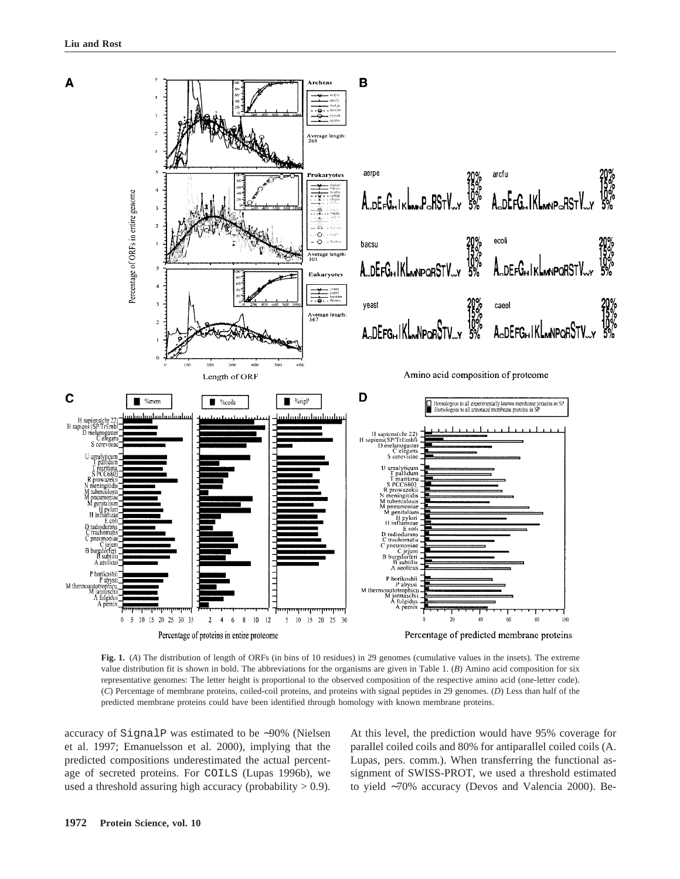

**Fig. 1.** (*A*) The distribution of length of ORFs (in bins of 10 residues) in 29 genomes (cumulative values in the insets). The extreme value distribution fit is shown in bold. The abbreviations for the organisms are given in Table 1. (*B*) Amino acid composition for six representative genomes: The letter height is proportional to the observed composition of the respective amino acid (one-letter code). (*C*) Percentage of membrane proteins, coiled-coil proteins, and proteins with signal peptides in 29 genomes. (*D*) Less than half of the predicted membrane proteins could have been identified through homology with known membrane proteins.

accuracy of SignalP was estimated to be ∼90% (Nielsen et al. 1997; Emanuelsson et al. 2000), implying that the predicted compositions underestimated the actual percentage of secreted proteins. For COILS (Lupas 1996b), we used a threshold assuring high accuracy (probability  $> 0.9$ ).

At this level, the prediction would have 95% coverage for parallel coiled coils and 80% for antiparallel coiled coils (A. Lupas, pers. comm.). When transferring the functional assignment of SWISS-PROT, we used a threshold estimated to yield ∼70% accuracy (Devos and Valencia 2000). Be-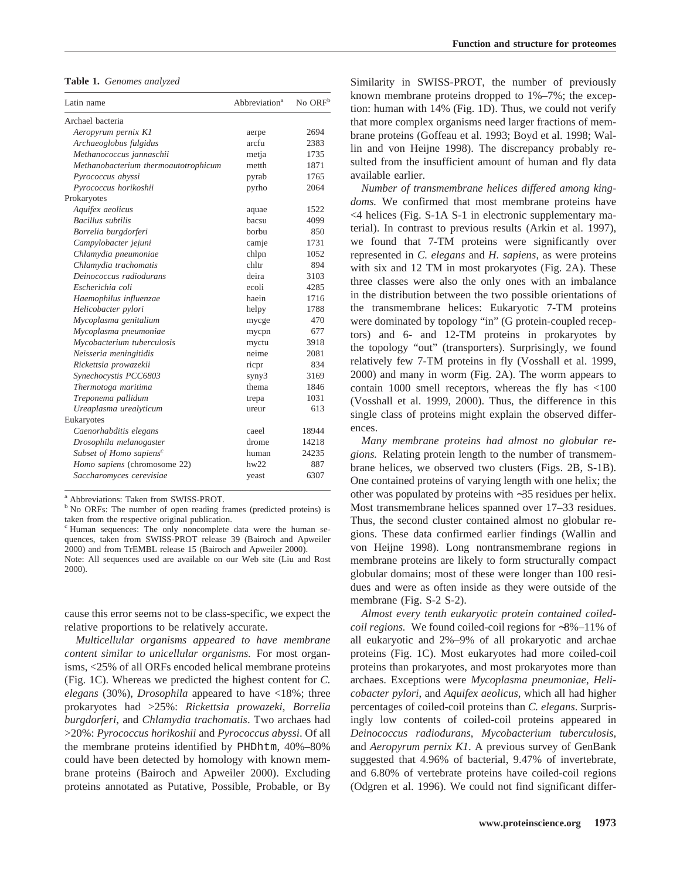**Table 1.** *Genomes analyzed*

| Latin name                           | Abbreviation <sup>a</sup> | No ORF <sup>b</sup> |
|--------------------------------------|---------------------------|---------------------|
| Archael bacteria                     |                           |                     |
| Aeropyrum pernix K1                  | aerpe                     | 2694                |
| Archaeoglobus fulgidus               | arcfu                     | 2383                |
| Methanococcus jannaschii             | metja                     | 1735                |
| Methanobacterium thermoautotrophicum | metth                     | 1871                |
| Pyrococcus abyssi                    | pyrab                     | 1765                |
| Pyrococcus horikoshii                | pyrho                     | 2064                |
| Prokaryotes                          |                           |                     |
| Aquifex aeolicus                     | aquae                     | 1522                |
| <b>Bacillus</b> subtilis             | bacsu                     | 4099                |
| Borrelia burgdorferi                 | borbu                     | 850                 |
| Campylobacter jejuni                 | camje                     | 1731                |
| Chlamydia pneumoniae                 | chlpn                     | 1052                |
| Chlamydia trachomatis                | chltr                     | 894                 |
| Deinococcus radiodurans              | deira                     | 3103                |
| Escherichia coli                     | ecoli                     | 4285                |
| Haemophilus influenzae               | haein                     | 1716                |
| Helicobacter pylori                  | helpy                     | 1788                |
| Mycoplasma genitalium                | mycge                     | 470                 |
| Mycoplasma pneumoniae                | mycpn                     | 677                 |
| Mycobacterium tuberculosis           | myctu                     | 3918                |
| Neisseria meningitidis               | neime                     | 2081                |
| Rickettsia prowazekii                | ricpr                     | 834                 |
| Synechocystis PCC6803                | syny3                     | 3169                |
| Thermotoga maritima                  | thema                     | 1846                |
| Treponema pallidum                   | trepa                     | 1031                |
| Ureaplasma urealyticum               | ureur                     | 613                 |
| Eukaryotes                           |                           |                     |
| Caenorhabditis elegans               | caeel                     | 18944               |
| Drosophila melanogaster              | drome                     | 14218               |
| Subset of Homo sapiens <sup>c</sup>  | human                     | 24235               |
| Homo sapiens (chromosome 22)         | $h$ w $22$                | 887                 |
| Saccharomyces cerevisiae             | yeast                     | 6307                |

<sup>a</sup> Abbreviations: Taken from SWISS-PROT.

<sup>b</sup> No ORFs: The number of open reading frames (predicted proteins) is taken from the respective original publication.

cause this error seems not to be class-specific, we expect the relative proportions to be relatively accurate.

*Multicellular organisms appeared to have membrane content similar to unicellular organisms.* For most organisms, <25% of all ORFs encoded helical membrane proteins (Fig. 1C). Whereas we predicted the highest content for *C. elegans* (30%), *Drosophila* appeared to have <18%; three prokaryotes had >25%: *Rickettsia prowazeki*, *Borrelia burgdorferi*, and *Chlamydia trachomatis*. Two archaes had >20%: *Pyrococcus horikoshii* and *Pyrococcus abyssi*. Of all the membrane proteins identified by PHDhtm, 40%–80% could have been detected by homology with known membrane proteins (Bairoch and Apweiler 2000). Excluding proteins annotated as Putative, Possible, Probable, or By

Similarity in SWISS-PROT, the number of previously known membrane proteins dropped to 1%–7%; the exception: human with 14% (Fig. 1D). Thus, we could not verify that more complex organisms need larger fractions of membrane proteins (Goffeau et al. 1993; Boyd et al. 1998; Wallin and von Heijne 1998). The discrepancy probably resulted from the insufficient amount of human and fly data available earlier.

*Number of transmembrane helices differed among kingdoms.* We confirmed that most membrane proteins have <4 helices (Fig. S-1A S-1 in electronic supplementary material). In contrast to previous results (Arkin et al. 1997), we found that 7-TM proteins were significantly over represented in *C. elegans* and *H. sapiens*, as were proteins with six and 12 TM in most prokaryotes (Fig. 2A). These three classes were also the only ones with an imbalance in the distribution between the two possible orientations of the transmembrane helices: Eukaryotic 7-TM proteins were dominated by topology "in" (G protein-coupled receptors) and 6- and 12-TM proteins in prokaryotes by the topology "out" (transporters). Surprisingly, we found relatively few 7-TM proteins in fly (Vosshall et al. 1999, 2000) and many in worm (Fig. 2A). The worm appears to contain 1000 smell receptors, whereas the fly has <100 (Vosshall et al. 1999, 2000). Thus, the difference in this single class of proteins might explain the observed differences.

*Many membrane proteins had almost no globular regions.* Relating protein length to the number of transmembrane helices, we observed two clusters (Figs. 2B, S-1B). One contained proteins of varying length with one helix; the other was populated by proteins with ∼35 residues per helix. Most transmembrane helices spanned over 17–33 residues. Thus, the second cluster contained almost no globular regions. These data confirmed earlier findings (Wallin and von Heijne 1998). Long nontransmembrane regions in membrane proteins are likely to form structurally compact globular domains; most of these were longer than 100 residues and were as often inside as they were outside of the membrane (Fig. S-2 S-2).

*Almost every tenth eukaryotic protein contained coiledcoil regions.* We found coiled-coil regions for ∼8%–11% of all eukaryotic and 2%–9% of all prokaryotic and archae proteins (Fig. 1C). Most eukaryotes had more coiled-coil proteins than prokaryotes, and most prokaryotes more than archaes. Exceptions were *Mycoplasma pneumoniae*, *Helicobacter pylori*, and *Aquifex aeolicus*, which all had higher percentages of coiled-coil proteins than *C. elegans*. Surprisingly low contents of coiled-coil proteins appeared in *Deinococcus radiodurans*, *Mycobacterium tuberculosis*, and *Aeropyrum pernix K1*. A previous survey of GenBank suggested that 4.96% of bacterial, 9.47% of invertebrate, and 6.80% of vertebrate proteins have coiled-coil regions (Odgren et al. 1996). We could not find significant differ-

<sup>c</sup> Human sequences: The only noncomplete data were the human sequences, taken from SWISS-PROT release 39 (Bairoch and Apweiler 2000) and from TrEMBL release 15 (Bairoch and Apweiler 2000). Note: All sequences used are available on our Web site (Liu and Rost 2000).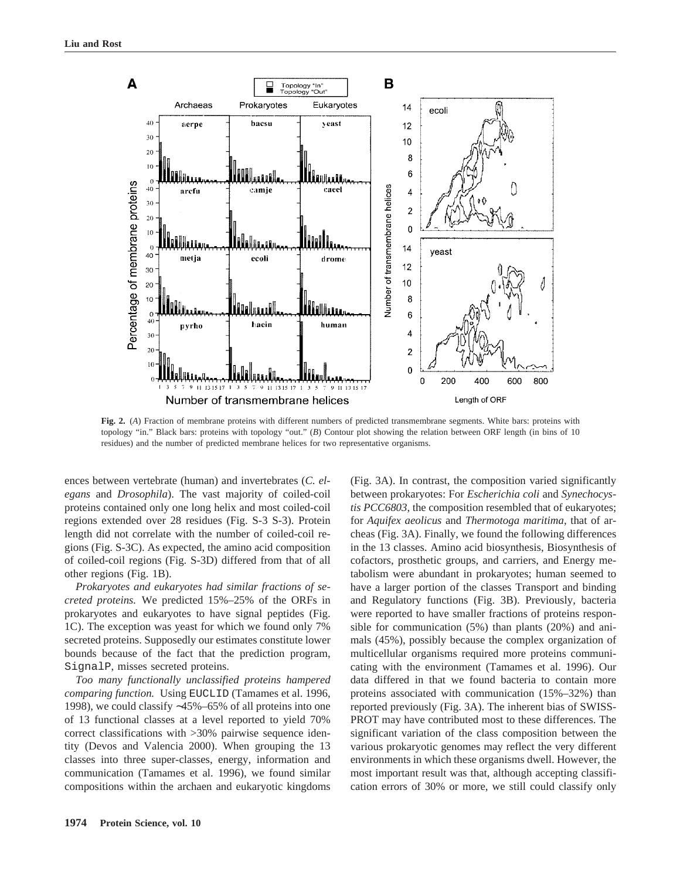

**Fig. 2.** (*A*) Fraction of membrane proteins with different numbers of predicted transmembrane segments. White bars: proteins with topology "in." Black bars: proteins with topology "out." (*B*) Contour plot showing the relation between ORF length (in bins of 10 residues) and the number of predicted membrane helices for two representative organisms.

ences between vertebrate (human) and invertebrates (*C. elegans* and *Drosophila*). The vast majority of coiled-coil proteins contained only one long helix and most coiled-coil regions extended over 28 residues (Fig. S-3 S-3). Protein length did not correlate with the number of coiled-coil regions (Fig. S-3C). As expected, the amino acid composition of coiled-coil regions (Fig. S-3D) differed from that of all other regions (Fig. 1B).

*Prokaryotes and eukaryotes had similar fractions of secreted proteins.* We predicted 15%–25% of the ORFs in prokaryotes and eukaryotes to have signal peptides (Fig. 1C). The exception was yeast for which we found only 7% secreted proteins. Supposedly our estimates constitute lower bounds because of the fact that the prediction program, SignalP, misses secreted proteins.

*Too many functionally unclassified proteins hampered comparing function.* Using EUCLID (Tamames et al. 1996, 1998), we could classify ∼45%–65% of all proteins into one of 13 functional classes at a level reported to yield 70% correct classifications with >30% pairwise sequence identity (Devos and Valencia 2000). When grouping the 13 classes into three super-classes, energy, information and communication (Tamames et al. 1996), we found similar compositions within the archaen and eukaryotic kingdoms

(Fig. 3A). In contrast, the composition varied significantly between prokaryotes: For *Escherichia coli* and *Synechocystis PCC6803*, the composition resembled that of eukaryotes; for *Aquifex aeolicus* and *Thermotoga maritima*, that of archeas (Fig. 3A). Finally, we found the following differences in the 13 classes. Amino acid biosynthesis, Biosynthesis of cofactors, prosthetic groups, and carriers, and Energy metabolism were abundant in prokaryotes; human seemed to have a larger portion of the classes Transport and binding and Regulatory functions (Fig. 3B). Previously, bacteria were reported to have smaller fractions of proteins responsible for communication (5%) than plants (20%) and animals (45%), possibly because the complex organization of multicellular organisms required more proteins communicating with the environment (Tamames et al. 1996). Our data differed in that we found bacteria to contain more proteins associated with communication (15%–32%) than reported previously (Fig. 3A). The inherent bias of SWISS-PROT may have contributed most to these differences. The significant variation of the class composition between the various prokaryotic genomes may reflect the very different environments in which these organisms dwell. However, the most important result was that, although accepting classification errors of 30% or more, we still could classify only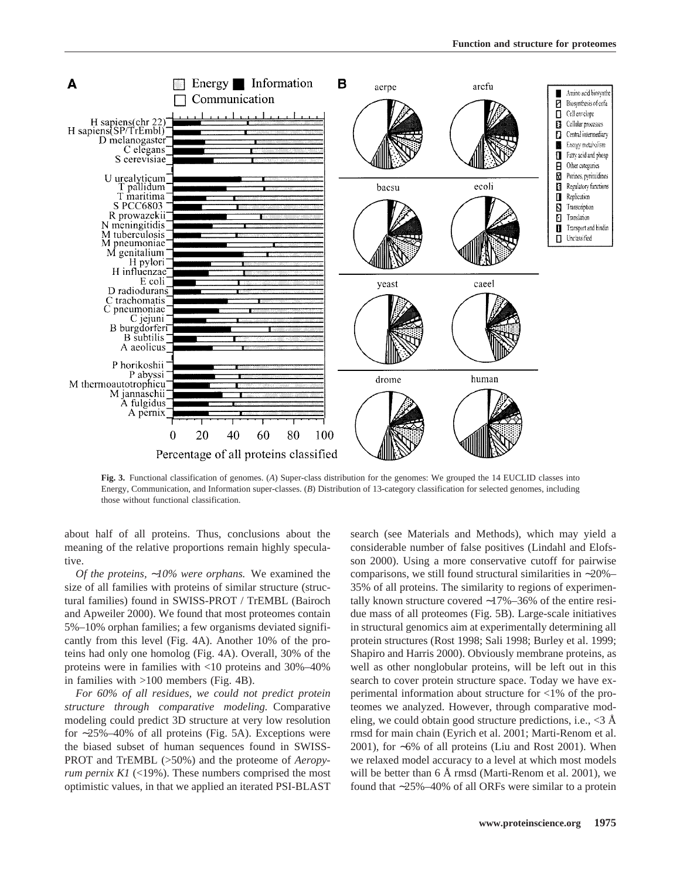

**Fig. 3.** Functional classification of genomes. (*A*) Super-class distribution for the genomes: We grouped the 14 EUCLID classes into Energy, Communication, and Information super-classes. (*B*) Distribution of 13-category classification for selected genomes, including those without functional classification.

about half of all proteins. Thus, conclusions about the meaning of the relative proportions remain highly speculative.

*Of the proteins,* ∼*10% were orphans.* We examined the size of all families with proteins of similar structure (structural families) found in SWISS-PROT / TrEMBL (Bairoch and Apweiler 2000). We found that most proteomes contain 5%–10% orphan families; a few organisms deviated significantly from this level (Fig. 4A). Another 10% of the proteins had only one homolog (Fig. 4A). Overall, 30% of the proteins were in families with <10 proteins and 30%–40% in families with >100 members (Fig. 4B).

*For 60% of all residues, we could not predict protein structure through comparative modeling.* Comparative modeling could predict 3D structure at very low resolution for ∼25%–40% of all proteins (Fig. 5A). Exceptions were the biased subset of human sequences found in SWISS-PROT and TrEMBL (>50%) and the proteome of *Aeropyrum pernix K1* (<19%). These numbers comprised the most optimistic values, in that we applied an iterated PSI-BLAST

search (see Materials and Methods), which may yield a considerable number of false positives (Lindahl and Elofsson 2000). Using a more conservative cutoff for pairwise comparisons, we still found structural similarities in ∼20%– 35% of all proteins. The similarity to regions of experimentally known structure covered ∼17%–36% of the entire residue mass of all proteomes (Fig. 5B). Large-scale initiatives in structural genomics aim at experimentally determining all protein structures (Rost 1998; Sali 1998; Burley et al. 1999; Shapiro and Harris 2000). Obviously membrane proteins, as well as other nonglobular proteins, will be left out in this search to cover protein structure space. Today we have experimental information about structure for <1% of the proteomes we analyzed. However, through comparative modeling, we could obtain good structure predictions, i.e.,  $\langle 3 \rangle$  Å rmsd for main chain (Eyrich et al. 2001; Marti-Renom et al. 2001), for ∼6% of all proteins (Liu and Rost 2001). When we relaxed model accuracy to a level at which most models will be better than 6 Å rmsd (Marti-Renom et al. 2001), we found that ∼25%–40% of all ORFs were similar to a protein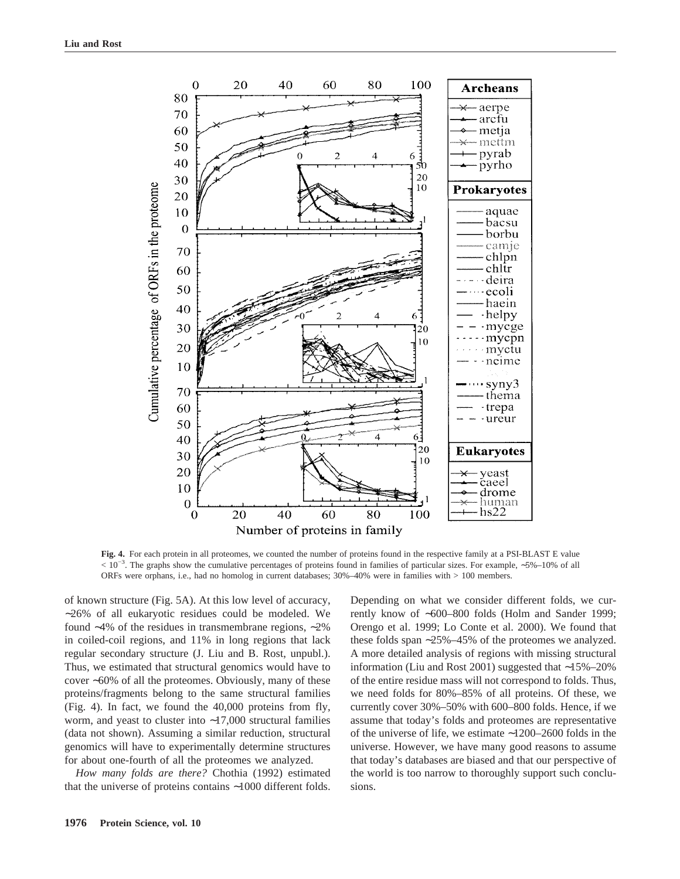

**Fig. 4.** For each protein in all proteomes, we counted the number of proteins found in the respective family at a PSI-BLAST E value < 10−3. The graphs show the cumulative percentages of proteins found in families of particular sizes. For example, ∼5%–10% of all ORFs were orphans, i.e., had no homolog in current databases; 30%–40% were in families with > 100 members.

of known structure (Fig. 5A). At this low level of accuracy, ∼26% of all eukaryotic residues could be modeled. We found ∼4% of the residues in transmembrane regions, ∼2% in coiled-coil regions, and 11% in long regions that lack regular secondary structure (J. Liu and B. Rost, unpubl.). Thus, we estimated that structural genomics would have to cover ∼60% of all the proteomes. Obviously, many of these proteins/fragments belong to the same structural families (Fig. 4). In fact, we found the 40,000 proteins from fly, worm, and yeast to cluster into ∼17,000 structural families (data not shown). Assuming a similar reduction, structural genomics will have to experimentally determine structures for about one-fourth of all the proteomes we analyzed.

*How many folds are there?* Chothia (1992) estimated that the universe of proteins contains ∼1000 different folds.

Depending on what we consider different folds, we currently know of ∼600–800 folds (Holm and Sander 1999; Orengo et al. 1999; Lo Conte et al. 2000). We found that these folds span ∼25%–45% of the proteomes we analyzed. A more detailed analysis of regions with missing structural information (Liu and Rost 2001) suggested that ∼15%–20% of the entire residue mass will not correspond to folds. Thus, we need folds for 80%–85% of all proteins. Of these, we currently cover 30%–50% with 600–800 folds. Hence, if we assume that today's folds and proteomes are representative of the universe of life, we estimate ∼1200–2600 folds in the universe. However, we have many good reasons to assume that today's databases are biased and that our perspective of the world is too narrow to thoroughly support such conclusions.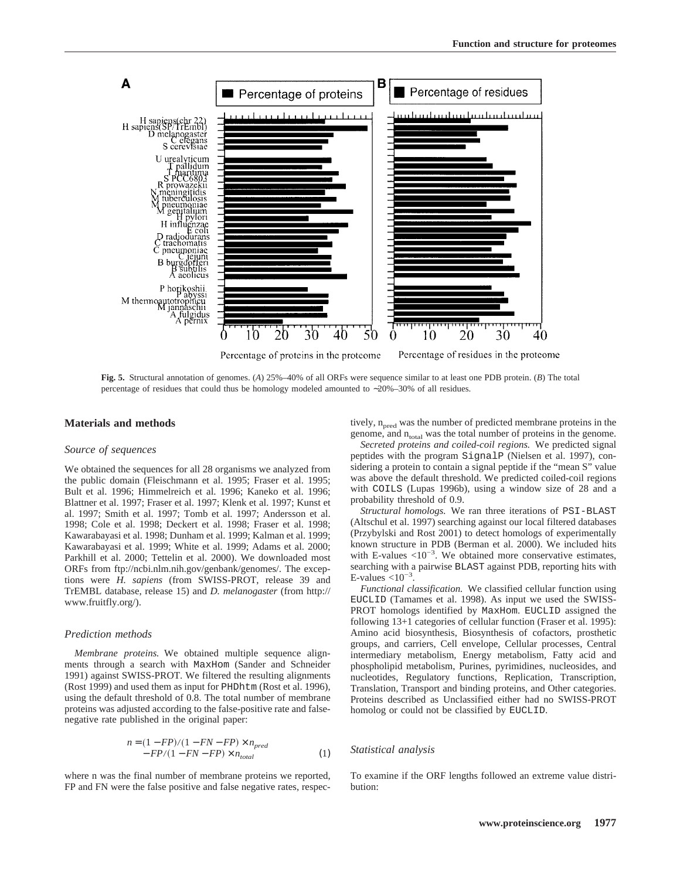

**Fig. 5.** Structural annotation of genomes. (A) 25%–40% of all ORFs were sequence similar to at least one PDB protein. (*B*) The total percentage of residues that could thus be homology modeled amounted to ∼20%–30% of all residues.

#### **Materials and methods**

#### *Source of sequences*

We obtained the sequences for all 28 organisms we analyzed from the public domain (Fleischmann et al. 1995; Fraser et al. 1995; Bult et al. 1996; Himmelreich et al. 1996; Kaneko et al. 1996; Blattner et al. 1997; Fraser et al. 1997; Klenk et al. 1997; Kunst et al. 1997; Smith et al. 1997; Tomb et al. 1997; Andersson et al. 1998; Cole et al. 1998; Deckert et al. 1998; Fraser et al. 1998; Kawarabayasi et al. 1998; Dunham et al. 1999; Kalman et al. 1999; Kawarabayasi et al. 1999; White et al. 1999; Adams et al. 2000; Parkhill et al. 2000; Tettelin et al. 2000). We downloaded most ORFs from ftp://ncbi.nlm.nih.gov/genbank/genomes/. The exceptions were *H. sapiens* (from SWISS-PROT, release 39 and TrEMBL database, release 15) and *D. melanogaster* (from http:// www.fruitfly.org/).

#### *Prediction methods*

*Membrane proteins.* We obtained multiple sequence alignments through a search with MaxHom (Sander and Schneider 1991) against SWISS-PROT. We filtered the resulting alignments (Rost 1999) and used them as input for PHDhtm (Rost et al. 1996), using the default threshold of 0.8. The total number of membrane proteins was adjusted according to the false-positive rate and falsenegative rate published in the original paper:

$$
n = (1 - FP)/(1 - FN - FP) \times n_{pred}
$$
  
- FP/(1 - FN - FP) \times n\_{total} (1)

where n was the final number of membrane proteins we reported, FP and FN were the false positive and false negative rates, respectively,  $n<sub>pred</sub>$  was the number of predicted membrane proteins in the genome, and  $n_{total}$  was the total number of proteins in the genome.

*Secreted proteins and coiled-coil regions.* We predicted signal peptides with the program SignalP (Nielsen et al. 1997), considering a protein to contain a signal peptide if the "mean S" value was above the default threshold. We predicted coiled-coil regions with COILS (Lupas 1996b), using a window size of 28 and a probability threshold of 0.9.

*Structural homologs.* We ran three iterations of PSI-BLAST (Altschul et al. 1997) searching against our local filtered databases (Przybylski and Rost 2001) to detect homologs of experimentally known structure in PDB(Berman et al. 2000). We included hits with E-values  $\langle 10^{-3}$ . We obtained more conservative estimates, searching with a pairwise BLAST against PDB, reporting hits with E-values  $< 10^{-3}$ .

*Functional classification.* We classified cellular function using EUCLID (Tamames et al. 1998). As input we used the SWISS-PROT homologs identified by MaxHom. EUCLID assigned the following 13+1 categories of cellular function (Fraser et al. 1995): Amino acid biosynthesis, Biosynthesis of cofactors, prosthetic groups, and carriers, Cell envelope, Cellular processes, Central intermediary metabolism, Energy metabolism, Fatty acid and phospholipid metabolism, Purines, pyrimidines, nucleosides, and nucleotides, Regulatory functions, Replication, Transcription, Translation, Transport and binding proteins, and Other categories. Proteins described as Unclassified either had no SWISS-PROT homolog or could not be classified by EUCLID.

#### *Statistical analysis*

To examine if the ORF lengths followed an extreme value distribution: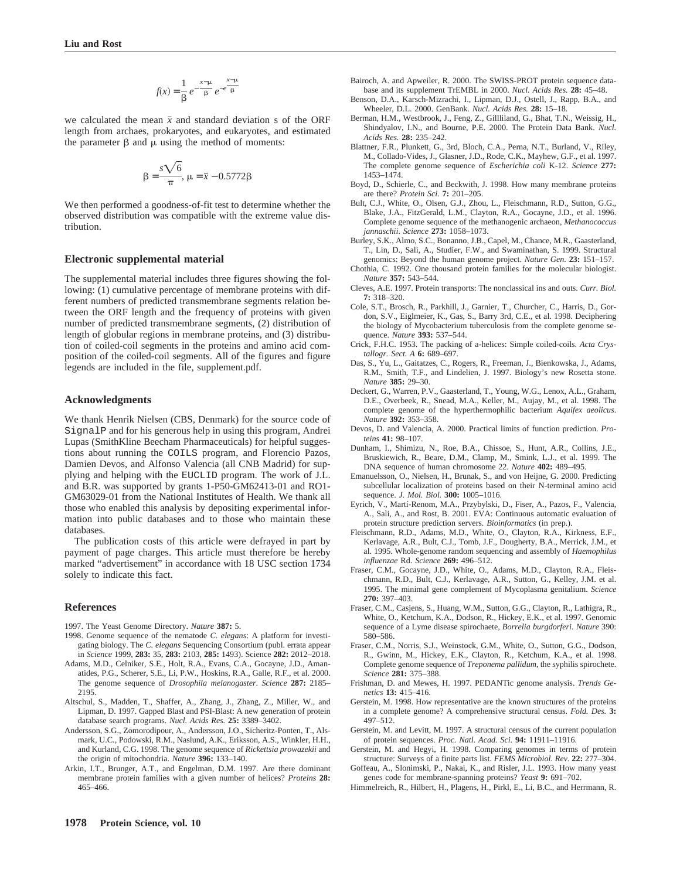$$
f(x) = \frac{1}{\beta} e^{-\frac{x-\mu}{\beta}} e^{-e^{\frac{x-\mu}{\beta}}}
$$

we calculated the mean  $\bar{x}$  and standard deviation s of the ORF length from archaes, prokaryotes, and eukaryotes, and estimated the parameter  $\beta$  and  $\mu$  using the method of moments:

$$
\beta = \frac{s\sqrt{6}}{\pi}, \ \mu = \bar{x} - 0.5772\beta
$$

We then performed a goodness-of-fit test to determine whether the observed distribution was compatible with the extreme value distribution.

#### **Electronic supplemental material**

The supplemental material includes three figures showing the following: (1) cumulative percentage of membrane proteins with different numbers of predicted transmembrane segments relation between the ORF length and the frequency of proteins with given number of predicted transmembrane segments, (2) distribution of length of globular regions in membrane proteins, and (3) distribution of coiled-coil segments in the proteins and amino acid composition of the coiled-coil segments. All of the figures and figure legends are included in the file, supplement.pdf.

#### **Acknowledgments**

We thank Henrik Nielsen (CBS, Denmark) for the source code of SignalP and for his generous help in using this program, Andrei Lupas (SmithKline Beecham Pharmaceuticals) for helpful suggestions about running the COILS program, and Florencio Pazos, Damien Devos, and Alfonso Valencia (all CNB Madrid) for supplying and helping with the EUCLID program. The work of J.L. and B.R. was supported by grants 1-P50-GM62413-01 and RO1- GM63029-01 from the National Institutes of Health. We thank all those who enabled this analysis by depositing experimental information into public databases and to those who maintain these databases.

The publication costs of this article were defrayed in part by payment of page charges. This article must therefore be hereby marked "advertisement" in accordance with 18 USC section 1734 solely to indicate this fact.

#### **References**

- 1997. The Yeast Genome Directory. *Nature* **387:** 5.
- 1998. Genome sequence of the nematode *C. elegans*: A platform for investigating biology. The *C. elegans* Sequencing Consortium (publ. errata appear in *Science* 1999, **283:** 35, **283:** 2103, **285:** 1493). Science **282:** 2012–2018.
- Adams, M.D., Celniker, S.E., Holt, R.A., Evans, C.A., Gocayne, J.D., Amanatides, P.G., Scherer, S.E., Li, P.W., Hoskins, R.A., Galle, R.F., et al. 2000. The genome sequence of *Drosophila melanogaster*. *Science* **287:** 2185– 2195.
- Altschul, S., Madden, T., Shaffer, A., Zhang, J., Zhang, Z., Miller, W., and Lipman, D. 1997. Gapped Blast and PSI-Blast: A new generation of protein database search programs. *Nucl. Acids Res.* **25:** 3389–3402.
- Andersson, S.G., Zomorodipour, A., Andersson, J.O., Sicheritz-Ponten, T., Alsmark, U.C., Podowski, R.M., Naslund, A.K., Eriksson, A.S., Winkler, H.H., and Kurland, C.G. 1998. The genome sequence of *Rickettsia prowazekii* and the origin of mitochondria. *Nature* **396:** 133–140.
- Arkin, I.T., Brunger, A.T., and Engelman, D.M. 1997. Are there dominant membrane protein families with a given number of helices? *Proteins* **28:** 465–466.
- Bairoch, A. and Apweiler, R. 2000. The SWISS-PROT protein sequence database and its supplement TrEMBL in 2000. *Nucl. Acids Res.* **28:** 45–48.
- Benson, D.A., Karsch-Mizrachi, I., Lipman, D.J., Ostell, J., Rapp, B.A., and Wheeler, D.L. 2000. GenBank. *Nucl. Acids Res.* **28:** 15–18.
- Berman, H.M., Westbrook, J., Feng, Z., Gillliland, G., Bhat, T.N., Weissig, H., Shindyalov, I.N., and Bourne, P.E. 2000. The Protein Data Bank. *Nucl. Acids Res.* **28:** 235–242.
- Blattner, F.R., Plunkett, G., 3rd, Bloch, C.A., Perna, N.T., Burland, V., Riley, M., Collado-Vides, J., Glasner, J.D., Rode, C.K., Mayhew, G.F., et al. 1997. The complete genome sequence of *Escherichia coli* K-12. *Science* **277:** 1453–1474.
- Boyd, D., Schierle, C., and Beckwith, J. 1998. How many membrane proteins are there? *Protein Sci.* **7:** 201–205.
- Bult, C.J., White, O., Olsen, G.J., Zhou, L., Fleischmann, R.D., Sutton, G.G., Blake, J.A., FitzGerald, L.M., Clayton, R.A., Gocayne, J.D., et al. 1996. Complete genome sequence of the methanogenic archaeon, *Methanococcus jannaschii*. *Science* **273:** 1058–1073.
- Burley, S.K., Almo, S.C., Bonanno, J.B., Capel, M., Chance, M.R., Gaasterland, T., Lin, D., Sali, A., Studier, F.W., and Swaminathan, S. 1999. Structural genomics: Beyond the human genome project. *Nature Gen.* **23:** 151–157.
- Chothia, C. 1992. One thousand protein families for the molecular biologist. *Nature* **357:** 543–544.
- Cleves, A.E. 1997. Protein transports: The nonclassical ins and outs. *Curr. Biol.* **7:** 318–320.
- Cole, S.T., Brosch, R., Parkhill, J., Garnier, T., Churcher, C., Harris, D., Gordon, S.V., Eiglmeier, K., Gas, S., Barry 3rd, C.E., et al. 1998. Deciphering the biology of Mycobacterium tuberculosis from the complete genome sequence. *Nature* **393:** 537–544.
- Crick, F.H.C. 1953. The packing of a-helices: Simple coiled-coils. *Acta Crystallogr. Sect. A* **6:** 689–697.
- Das, S., Yu, L., Gaitatzes, C., Rogers, R., Freeman, J., Bienkowska, J., Adams, R.M., Smith, T.F., and Lindelien, J. 1997. Biology's new Rosetta stone. *Nature* **385:** 29–30.
- Deckert, G., Warren, P.V., Gaasterland, T., Young, W.G., Lenox, A.L., Graham, D.E., Overbeek, R., Snead, M.A., Keller, M., Aujay, M., et al. 1998. The complete genome of the hyperthermophilic bacterium *Aquifex aeolicus*. *Nature* **392:** 353–358.
- Devos, D. and Valencia, A. 2000. Practical limits of function prediction. *Proteins* **41:** 98–107.
- Dunham, I., Shimizu, N., Roe, B.A., Chissoe, S., Hunt, A.R., Collins, J.E., Bruskiewich, R., Beare, D.M., Clamp, M., Smink, L.J., et al. 1999. The DNA sequence of human chromosome 22. *Nature* **402:** 489–495.
- Emanuelsson, O., Nielsen, H., Brunak, S., and von Heijne, G. 2000. Predicting subcellular localization of proteins based on their N-terminal amino acid sequence. *J. Mol. Biol.* **300:** 1005–1016.
- Eyrich, V., Martí-Renom, M.A., Przybylski, D., Fiser, A., Pazos, F., Valencia, A., Sali, A., and Rost, B. 2001. EVA: Continuous automatic evaluation of protein structure prediction servers. *Bioinformatics* (in prep.).
- Fleischmann, R.D., Adams, M.D., White, O., Clayton, R.A., Kirkness, E.F., Kerlavage, A.R., Bult, C.J., Tomb, J.F., Dougherty, B.A., Merrick, J.M., et al. 1995. Whole-genome random sequencing and assembly of *Haemophilus influenzae* Rd. *Science* **269:** 496–512.
- Fraser, C.M., Gocayne, J.D., White, O., Adams, M.D., Clayton, R.A., Fleischmann, R.D., Bult, C.J., Kerlavage, A.R., Sutton, G., Kelley, J.M. et al. 1995. The minimal gene complement of Mycoplasma genitalium. *Science* **270:** 397–403.
- Fraser, C.M., Casjens, S., Huang, W.M., Sutton, G.G., Clayton, R., Lathigra, R., White, O., Ketchum, K.A., Dodson, R., Hickey, E.K., et al. 1997. Genomic sequence of a Lyme disease spirochaete, *Borrelia burgdorferi*. *Nature* 390: 580–586.
- Fraser, C.M., Norris, S.J., Weinstock, G.M., White, O., Sutton, G.G., Dodson, R., Gwinn, M., Hickey, E.K., Clayton, R., Ketchum, K.A., et al. 1998. Complete genome sequence of *Treponema pallidum*, the syphilis spirochete. *Science* **281:** 375–388.
- Frishman, D. and Mewes, H. 1997. PEDANTic genome analysis. *Trends Genetics* **13:** 415–416.
- Gerstein, M. 1998. How representative are the known structures of the proteins in a complete genome? A comprehensive structural census. *Fold. Des.* **3:** 497–512.
- Gerstein, M. and Levitt, M. 1997. A structural census of the current population of protein sequences. *Proc. Natl. Acad. Sci.* **94:** 11911–11916.
- Gerstein, M. and Hegyi, H. 1998. Comparing genomes in terms of protein structure: Surveys of a finite parts list. *FEMS Microbiol. Rev.* **22:** 277–304.
- Goffeau, A., Slonimski, P., Nakai, K., and Risler, J.L. 1993. How many yeast genes code for membrane-spanning proteins? *Yeast* **9:** 691–702.
- Himmelreich, R., Hilbert, H., Plagens, H., Pirkl, E., Li, B.C., and Herrmann, R.